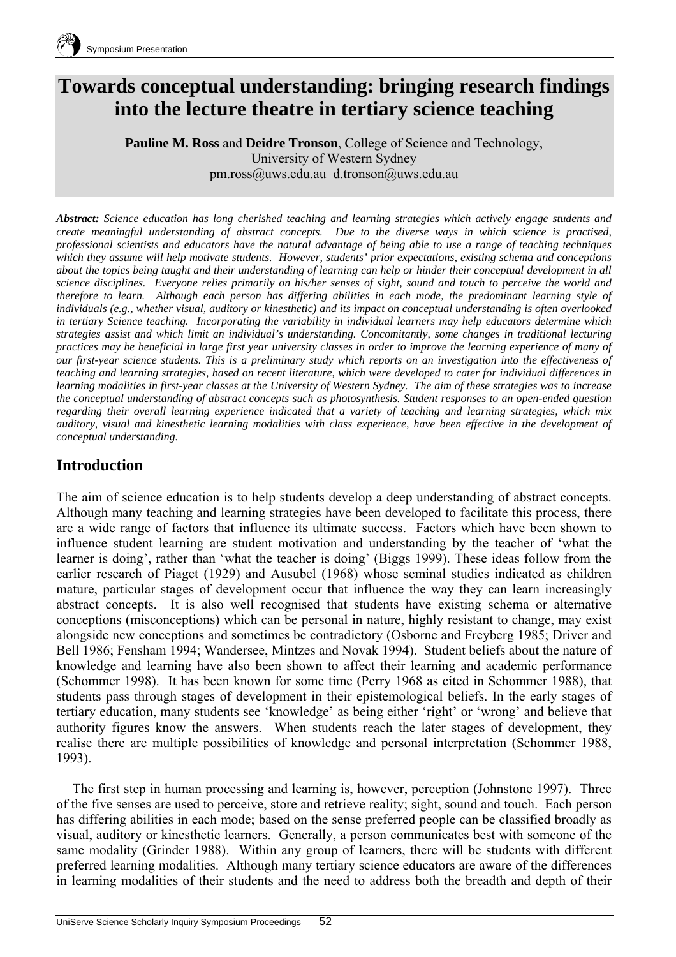# **Towards conceptual understanding: bringing research findings into the lecture theatre in tertiary science teaching**

**Pauline M. Ross** and **Deidre Tronson**, College of Science and Technology, University of Western Sydney pm.ross@uws.edu.au d.tronson@uws.edu.au

*Abstract: Science education has long cherished teaching and learning strategies which actively engage students and create meaningful understanding of abstract concepts. Due to the diverse ways in which science is practised, professional scientists and educators have the natural advantage of being able to use a range of teaching techniques which they assume will help motivate students. However, students' prior expectations, existing schema and conceptions about the topics being taught and their understanding of learning can help or hinder their conceptual development in all science disciplines. Everyone relies primarily on his/her senses of sight, sound and touch to perceive the world and therefore to learn. Although each person has differing abilities in each mode, the predominant learning style of individuals (e.g., whether visual, auditory or kinesthetic) and its impact on conceptual understanding is often overlooked in tertiary Science teaching. Incorporating the variability in individual learners may help educators determine which strategies assist and which limit an individual's understanding. Concomitantly, some changes in traditional lecturing practices may be beneficial in large first year university classes in order to improve the learning experience of many of our first-year science students. This is a preliminary study which reports on an investigation into the effectiveness of teaching and learning strategies, based on recent literature, which were developed to cater for individual differences in learning modalities in first-year classes at the University of Western Sydney. The aim of these strategies was to increase the conceptual understanding of abstract concepts such as photosynthesis. Student responses to an open-ended question regarding their overall learning experience indicated that a variety of teaching and learning strategies, which mix auditory, visual and kinesthetic learning modalities with class experience, have been effective in the development of conceptual understanding.* 

## **Introduction**

The aim of science education is to help students develop a deep understanding of abstract concepts. Although many teaching and learning strategies have been developed to facilitate this process, there are a wide range of factors that influence its ultimate success. Factors which have been shown to influence student learning are student motivation and understanding by the teacher of 'what the learner is doing', rather than 'what the teacher is doing' (Biggs 1999). These ideas follow from the earlier research of Piaget (1929) and Ausubel (1968) whose seminal studies indicated as children mature, particular stages of development occur that influence the way they can learn increasingly abstract concepts. It is also well recognised that students have existing schema or alternative conceptions (misconceptions) which can be personal in nature, highly resistant to change, may exist alongside new conceptions and sometimes be contradictory (Osborne and Freyberg 1985; Driver and Bell 1986; Fensham 1994; Wandersee, Mintzes and Novak 1994). Student beliefs about the nature of knowledge and learning have also been shown to affect their learning and academic performance (Schommer 1998). It has been known for some time (Perry 1968 as cited in Schommer 1988), that students pass through stages of development in their epistemological beliefs. In the early stages of tertiary education, many students see 'knowledge' as being either 'right' or 'wrong' and believe that authority figures know the answers. When students reach the later stages of development, they realise there are multiple possibilities of knowledge and personal interpretation (Schommer 1988, 1993).

The first step in human processing and learning is, however, perception (Johnstone 1997). Three of the five senses are used to perceive, store and retrieve reality; sight, sound and touch. Each person has differing abilities in each mode; based on the sense preferred people can be classified broadly as visual, auditory or kinesthetic learners. Generally, a person communicates best with someone of the same modality (Grinder 1988). Within any group of learners, there will be students with different preferred learning modalities. Although many tertiary science educators are aware of the differences in learning modalities of their students and the need to address both the breadth and depth of their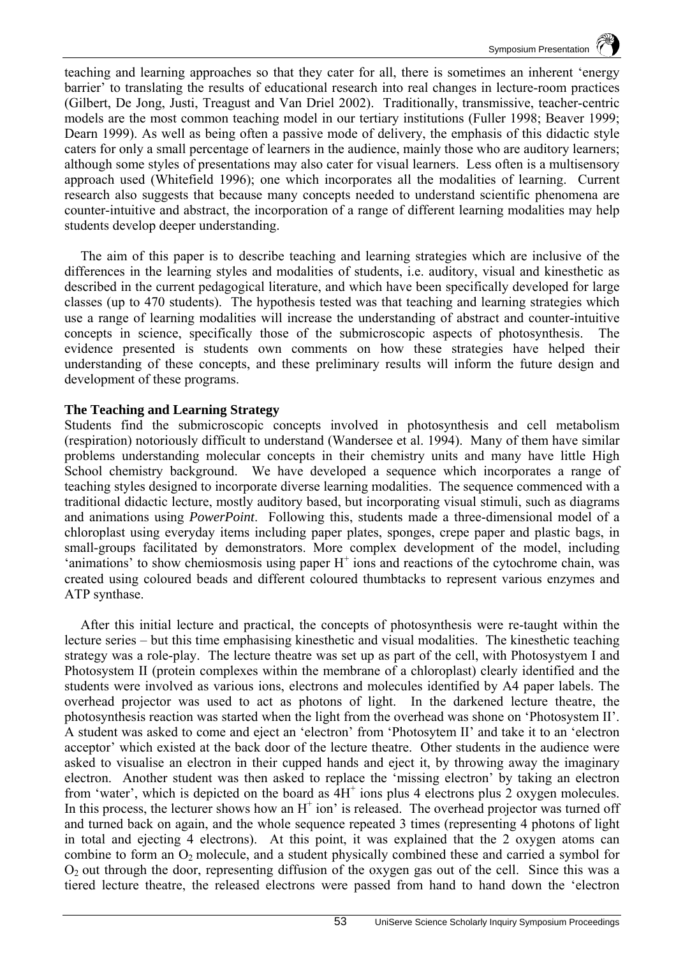teaching and learning approaches so that they cater for all, there is sometimes an inherent 'energy barrier' to translating the results of educational research into real changes in lecture-room practices (Gilbert, De Jong, Justi, Treagust and Van Driel 2002). Traditionally, transmissive, teacher-centric models are the most common teaching model in our tertiary institutions (Fuller 1998; Beaver 1999; Dearn 1999). As well as being often a passive mode of delivery, the emphasis of this didactic style caters for only a small percentage of learners in the audience, mainly those who are auditory learners; although some styles of presentations may also cater for visual learners. Less often is a multisensory approach used (Whitefield 1996); one which incorporates all the modalities of learning. Current research also suggests that because many concepts needed to understand scientific phenomena are counter-intuitive and abstract, the incorporation of a range of different learning modalities may help students develop deeper understanding.

The aim of this paper is to describe teaching and learning strategies which are inclusive of the differences in the learning styles and modalities of students, i.e. auditory, visual and kinesthetic as described in the current pedagogical literature, and which have been specifically developed for large classes (up to 470 students). The hypothesis tested was that teaching and learning strategies which use a range of learning modalities will increase the understanding of abstract and counter-intuitive concepts in science, specifically those of the submicroscopic aspects of photosynthesis. The evidence presented is students own comments on how these strategies have helped their understanding of these concepts, and these preliminary results will inform the future design and development of these programs.

#### **The Teaching and Learning Strategy**

Students find the submicroscopic concepts involved in photosynthesis and cell metabolism (respiration) notoriously difficult to understand (Wandersee et al. 1994). Many of them have similar problems understanding molecular concepts in their chemistry units and many have little High School chemistry background. We have developed a sequence which incorporates a range of teaching styles designed to incorporate diverse learning modalities. The sequence commenced with a traditional didactic lecture, mostly auditory based, but incorporating visual stimuli, such as diagrams and animations using *PowerPoint*. Following this, students made a three-dimensional model of a chloroplast using everyday items including paper plates, sponges, crepe paper and plastic bags, in small-groups facilitated by demonstrators. More complex development of the model, including 'animations' to show chemiosmosis using paper  $H^+$  ions and reactions of the cytochrome chain, was created using coloured beads and different coloured thumbtacks to represent various enzymes and ATP synthase.

After this initial lecture and practical, the concepts of photosynthesis were re-taught within the lecture series – but this time emphasising kinesthetic and visual modalities. The kinesthetic teaching strategy was a role-play. The lecture theatre was set up as part of the cell, with Photosystyem I and Photosystem II (protein complexes within the membrane of a chloroplast) clearly identified and the students were involved as various ions, electrons and molecules identified by A4 paper labels. The overhead projector was used to act as photons of light. In the darkened lecture theatre, the photosynthesis reaction was started when the light from the overhead was shone on 'Photosystem II'. A student was asked to come and eject an 'electron' from 'Photosytem II' and take it to an 'electron acceptor' which existed at the back door of the lecture theatre. Other students in the audience were asked to visualise an electron in their cupped hands and eject it, by throwing away the imaginary electron. Another student was then asked to replace the 'missing electron' by taking an electron from 'water', which is depicted on the board as  $\overline{4H}^+$  ions plus 4 electrons plus 2 oxygen molecules. In this process, the lecturer shows how an  $H^+$  ion' is released. The overhead projector was turned off and turned back on again, and the whole sequence repeated 3 times (representing 4 photons of light in total and ejecting 4 electrons). At this point, it was explained that the 2 oxygen atoms can combine to form an  $O<sub>2</sub>$  molecule, and a student physically combined these and carried a symbol for  $O<sub>2</sub>$  out through the door, representing diffusion of the oxygen gas out of the cell. Since this was a tiered lecture theatre, the released electrons were passed from hand to hand down the 'electron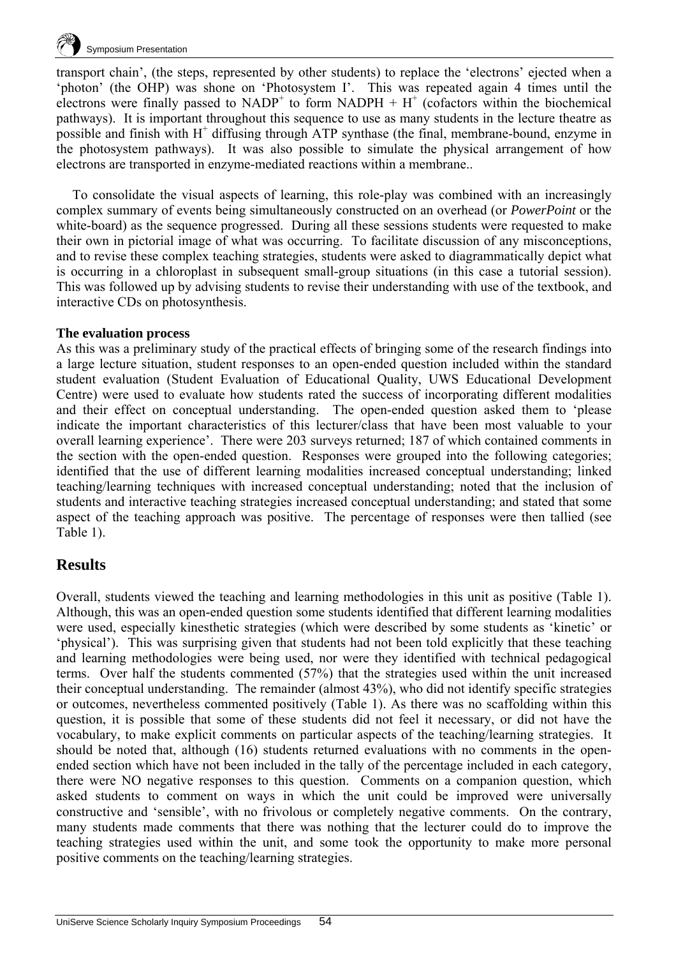

transport chain', (the steps, represented by other students) to replace the 'electrons' ejected when a 'photon' (the OHP) was shone on 'Photosystem I'. This was repeated again 4 times until the electrons were finally passed to  $NADP<sup>+</sup>$  to form  $NADPH + H<sup>+</sup>$  (cofactors within the biochemical pathways). It is important throughout this sequence to use as many students in the lecture theatre as possible and finish with H<sup>+</sup> diffusing through ATP synthase (the final, membrane-bound, enzyme in the photosystem pathways). It was also possible to simulate the physical arrangement of how electrons are transported in enzyme-mediated reactions within a membrane..

To consolidate the visual aspects of learning, this role-play was combined with an increasingly complex summary of events being simultaneously constructed on an overhead (or *PowerPoint* or the white-board) as the sequence progressed. During all these sessions students were requested to make their own in pictorial image of what was occurring. To facilitate discussion of any misconceptions, and to revise these complex teaching strategies, students were asked to diagrammatically depict what is occurring in a chloroplast in subsequent small-group situations (in this case a tutorial session). This was followed up by advising students to revise their understanding with use of the textbook, and interactive CDs on photosynthesis.

#### **The evaluation process**

As this was a preliminary study of the practical effects of bringing some of the research findings into a large lecture situation, student responses to an open-ended question included within the standard student evaluation (Student Evaluation of Educational Quality, UWS Educational Development Centre) were used to evaluate how students rated the success of incorporating different modalities and their effect on conceptual understanding. The open-ended question asked them to 'please indicate the important characteristics of this lecturer/class that have been most valuable to your overall learning experience'. There were 203 surveys returned; 187 of which contained comments in the section with the open-ended question. Responses were grouped into the following categories; identified that the use of different learning modalities increased conceptual understanding; linked teaching/learning techniques with increased conceptual understanding; noted that the inclusion of students and interactive teaching strategies increased conceptual understanding; and stated that some aspect of the teaching approach was positive. The percentage of responses were then tallied (see Table 1).

### **Results**

Overall, students viewed the teaching and learning methodologies in this unit as positive (Table 1). Although, this was an open-ended question some students identified that different learning modalities were used, especially kinesthetic strategies (which were described by some students as 'kinetic' or 'physical'). This was surprising given that students had not been told explicitly that these teaching and learning methodologies were being used, nor were they identified with technical pedagogical terms. Over half the students commented (57%) that the strategies used within the unit increased their conceptual understanding. The remainder (almost 43%), who did not identify specific strategies or outcomes, nevertheless commented positively (Table 1). As there was no scaffolding within this question, it is possible that some of these students did not feel it necessary, or did not have the vocabulary, to make explicit comments on particular aspects of the teaching/learning strategies. It should be noted that, although (16) students returned evaluations with no comments in the openended section which have not been included in the tally of the percentage included in each category, there were NO negative responses to this question. Comments on a companion question, which asked students to comment on ways in which the unit could be improved were universally constructive and 'sensible', with no frivolous or completely negative comments. On the contrary, many students made comments that there was nothing that the lecturer could do to improve the teaching strategies used within the unit, and some took the opportunity to make more personal positive comments on the teaching/learning strategies.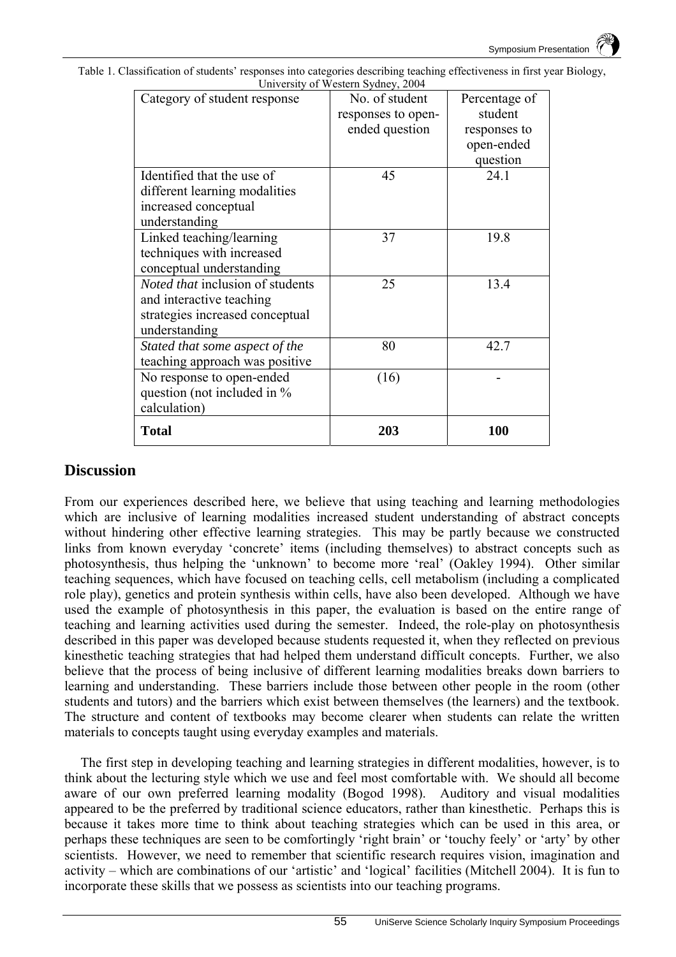| Category of student response            | No. of student     | Percentage of |
|-----------------------------------------|--------------------|---------------|
|                                         | responses to open- | student       |
|                                         | ended question     | responses to  |
|                                         |                    | open-ended    |
|                                         |                    | question      |
| Identified that the use of              | 45                 | 24.1          |
| different learning modalities           |                    |               |
| increased conceptual                    |                    |               |
| understanding                           |                    |               |
| Linked teaching/learning                | 37                 | 19.8          |
| techniques with increased               |                    |               |
| conceptual understanding                |                    |               |
| <i>Noted that inclusion of students</i> | 25                 | 13.4          |
| and interactive teaching                |                    |               |
| strategies increased conceptual         |                    |               |
| understanding                           |                    |               |
| Stated that some aspect of the          | 80                 | 42.7          |
| teaching approach was positive          |                    |               |
| No response to open-ended               | (16)               |               |
| question (not included in %             |                    |               |
| calculation)                            |                    |               |
| <b>Total</b>                            | 203                | 100           |

Table 1. Classification of students' responses into categories describing teaching effectiveness in first year Biology, University of Western Sydney, 2004

### **Discussion**

From our experiences described here, we believe that using teaching and learning methodologies which are inclusive of learning modalities increased student understanding of abstract concepts without hindering other effective learning strategies. This may be partly because we constructed links from known everyday 'concrete' items (including themselves) to abstract concepts such as photosynthesis, thus helping the 'unknown' to become more 'real' (Oakley 1994). Other similar teaching sequences, which have focused on teaching cells, cell metabolism (including a complicated role play), genetics and protein synthesis within cells, have also been developed. Although we have used the example of photosynthesis in this paper, the evaluation is based on the entire range of teaching and learning activities used during the semester. Indeed, the role-play on photosynthesis described in this paper was developed because students requested it, when they reflected on previous kinesthetic teaching strategies that had helped them understand difficult concepts. Further, we also believe that the process of being inclusive of different learning modalities breaks down barriers to learning and understanding. These barriers include those between other people in the room (other students and tutors) and the barriers which exist between themselves (the learners) and the textbook. The structure and content of textbooks may become clearer when students can relate the written materials to concepts taught using everyday examples and materials.

The first step in developing teaching and learning strategies in different modalities, however, is to think about the lecturing style which we use and feel most comfortable with. We should all become aware of our own preferred learning modality (Bogod 1998). Auditory and visual modalities appeared to be the preferred by traditional science educators, rather than kinesthetic. Perhaps this is because it takes more time to think about teaching strategies which can be used in this area, or perhaps these techniques are seen to be comfortingly 'right brain' or 'touchy feely' or 'arty' by other scientists. However, we need to remember that scientific research requires vision, imagination and activity – which are combinations of our 'artistic' and 'logical' facilities (Mitchell 2004). It is fun to incorporate these skills that we possess as scientists into our teaching programs.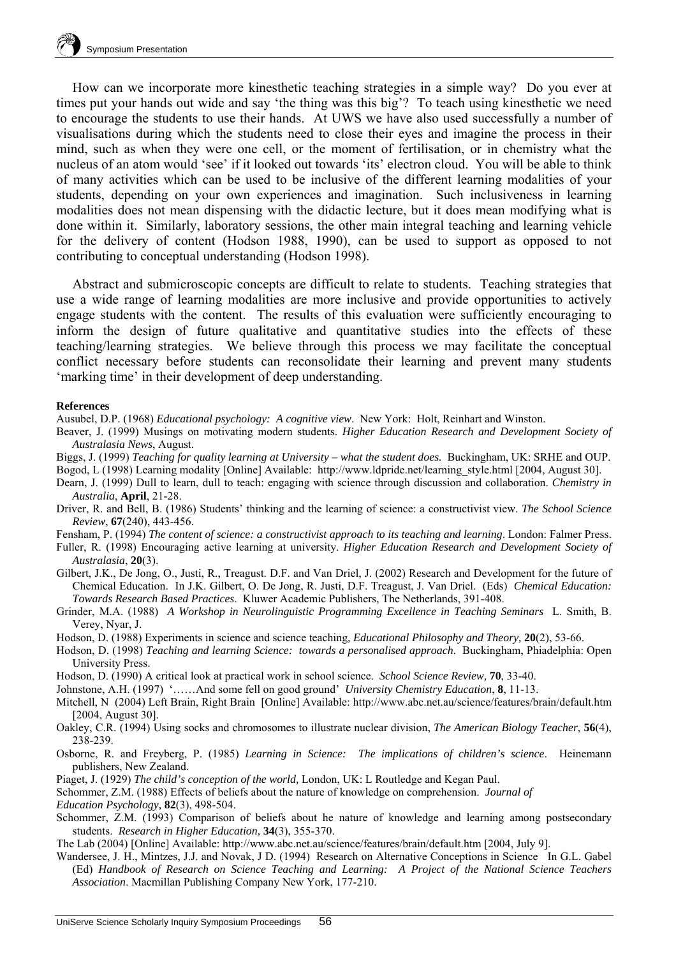How can we incorporate more kinesthetic teaching strategies in a simple way? Do you ever at times put your hands out wide and say 'the thing was this big'? To teach using kinesthetic we need to encourage the students to use their hands. At UWS we have also used successfully a number of visualisations during which the students need to close their eyes and imagine the process in their mind, such as when they were one cell, or the moment of fertilisation, or in chemistry what the nucleus of an atom would 'see' if it looked out towards 'its' electron cloud. You will be able to think of many activities which can be used to be inclusive of the different learning modalities of your students, depending on your own experiences and imagination. Such inclusiveness in learning modalities does not mean dispensing with the didactic lecture, but it does mean modifying what is done within it. Similarly, laboratory sessions, the other main integral teaching and learning vehicle for the delivery of content (Hodson 1988, 1990), can be used to support as opposed to not contributing to conceptual understanding (Hodson 1998).

Abstract and submicroscopic concepts are difficult to relate to students. Teaching strategies that use a wide range of learning modalities are more inclusive and provide opportunities to actively engage students with the content. The results of this evaluation were sufficiently encouraging to inform the design of future qualitative and quantitative studies into the effects of these teaching/learning strategies. We believe through this process we may facilitate the conceptual conflict necessary before students can reconsolidate their learning and prevent many students 'marking time' in their development of deep understanding.

#### **References**

Ausubel, D.P. (1968) *Educational psychology: A cognitive view*. New York: Holt, Reinhart and Winston.

- Beaver, J. (1999) Musings on motivating modern students. *Higher Education Research and Development Society of Australasia News*, August.
- Biggs, J. (1999) *Teaching for quality learning at University what the student does.* Buckingham, UK: SRHE and OUP.
- Bogod, L (1998) Learning modality [Online] Available: http://www.ldpride.net/learning\_style.html [2004, August 30].
- Dearn, J. (1999) Dull to learn, dull to teach: engaging with science through discussion and collaboration. *Chemistry in Australia*, **April**, 21-28.
- Driver, R. and Bell, B. (1986) Students' thinking and the learning of science: a constructivist view. *The School Science Review*, **67**(240), 443-456.
- Fensham, P. (1994) *The content of science: a constructivist approach to its teaching and learning*. London: Falmer Press.
- Fuller, R. (1998) Encouraging active learning at university. *Higher Education Research and Development Society of Australasia*, **20**(3).
- Gilbert, J.K., De Jong, O., Justi, R., Treagust. D.F. and Van Driel, J. (2002) Research and Development for the future of Chemical Education. In J.K. Gilbert, O. De Jong, R. Justi, D.F. Treagust, J. Van Driel. (Eds) *Chemical Education: Towards Research Based Practices*. Kluwer Academic Publishers, The Netherlands, 391-408.
- Grinder, M.A. (1988) *A Workshop in Neurolinguistic Programming Excellence in Teaching Seminars* L. Smith, B. Verey, Nyar, J.
- Hodson, D. (1988) Experiments in science and science teaching*, Educational Philosophy and Theory,* **20**(2), 53-66.
- Hodson, D. (1998) *Teaching and learning Science: towards a personalised approach*. Buckingham, Phiadelphia: Open University Press.
- Hodson, D. (1990) A critical look at practical work in school science. *School Science Review,* **70**, 33-40.
- Johnstone, A.H. (1997) '……And some fell on good ground' *University Chemistry Education*, **8**, 11-13.
- Mitchell, N (2004) Left Brain, Right Brain [Online] Available: http://www.abc.net.au/science/features/brain/default.htm [2004, August 30].
- Oakley, C.R. (1994) Using socks and chromosomes to illustrate nuclear division, *The American Biology Teacher*, **56**(4), 238-239.
- Osborne, R. and Freyberg, P. (1985) *Learning in Science: The implications of children's science*. Heinemann publishers, New Zealand.
- Piaget, J. (1929) *The child's conception of the world,* London, UK: L Routledge and Kegan Paul.
- Schommer, Z.M. (1988) Effects of beliefs about the nature of knowledge on comprehension. *Journal of*
- *Education Psychology,* **82**(3), 498-504.
- Schommer, Z.M. (1993) Comparison of beliefs about he nature of knowledge and learning among postsecondary students. *Research in Higher Education,* **34**(3), 355-370.
- The Lab (2004) [Online] Available: http://www.abc.net.au/science/features/brain/default.htm [2004, July 9].
- Wandersee, J. H., Mintzes, J.J. and Novak, J.D. (1994) Research on Alternative Conceptions in Science In G.L. Gabel (Ed) *Handbook of Research on Science Teaching and Learning: A Project of the National Science Teachers Association*. Macmillan Publishing Company New York, 177-210.